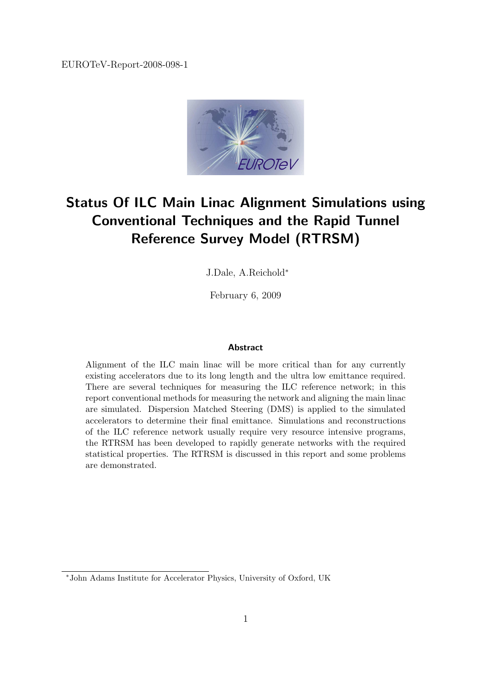

# Status Of ILC Main Linac Alignment Simulations using Conventional Techniques and the Rapid Tunnel Reference Survey Model (RTRSM)

J.Dale, A.Reichold<sup>∗</sup>

February 6, 2009

#### Abstract

Alignment of the ILC main linac will be more critical than for any currently existing accelerators due to its long length and the ultra low emittance required. There are several techniques for measuring the ILC reference network; in this report conventional methods for measuring the network and aligning the main linac are simulated. Dispersion Matched Steering (DMS) is applied to the simulated accelerators to determine their final emittance. Simulations and reconstructions of the ILC reference network usually require very resource intensive programs, the RTRSM has been developed to rapidly generate networks with the required statistical properties. The RTRSM is discussed in this report and some problems are demonstrated.

<sup>∗</sup>John Adams Institute for Accelerator Physics, University of Oxford, UK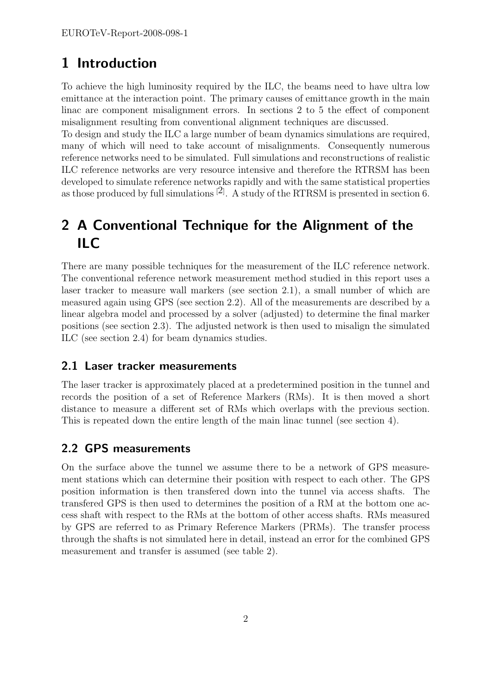# 1 Introduction

To achieve the high luminosity required by the ILC, the beams need to have ultra low emittance at the interaction point. The primary causes of emittance growth in the main linac are component misalignment errors. In sections 2 to 5 the effect of component misalignment resulting from conventional alignment techniques are discussed.

To design and study the ILC a large number of beam dynamics simulations are required, many of which will need to take account of misalignments. Consequently numerous reference networks need to be simulated. Full simulations and reconstructions of realistic ILC reference networks are very resource intensive and therefore the RTRSM has been developed to simulate reference networks rapidly and with the same statistical properties as those produced by full simulations  $^{[2]}$ . A study of the RTRSM is presented in section 6.

# 2 A Conventional Technique for the Alignment of the ILC

There are many possible techniques for the measurement of the ILC reference network. The conventional reference network measurement method studied in this report uses a laser tracker to measure wall markers (see section 2.1), a small number of which are measured again using GPS (see section 2.2). All of the measurements are described by a linear algebra model and processed by a solver (adjusted) to determine the final marker positions (see section 2.3). The adjusted network is then used to misalign the simulated ILC (see section 2.4) for beam dynamics studies.

## 2.1 Laser tracker measurements

The laser tracker is approximately placed at a predetermined position in the tunnel and records the position of a set of Reference Markers (RMs). It is then moved a short distance to measure a different set of RMs which overlaps with the previous section. This is repeated down the entire length of the main linac tunnel (see section 4).

## 2.2 GPS measurements

On the surface above the tunnel we assume there to be a network of GPS measurement stations which can determine their position with respect to each other. The GPS position information is then transfered down into the tunnel via access shafts. The transfered GPS is then used to determines the position of a RM at the bottom one access shaft with respect to the RMs at the bottom of other access shafts. RMs measured by GPS are referred to as Primary Reference Markers (PRMs). The transfer process through the shafts is not simulated here in detail, instead an error for the combined GPS measurement and transfer is assumed (see table 2).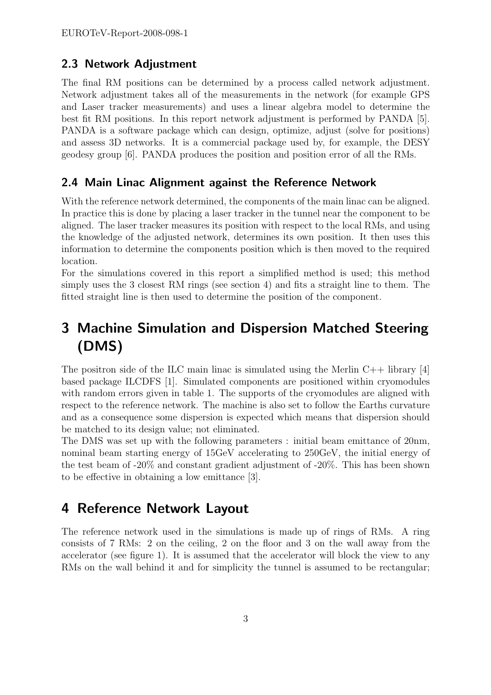### 2.3 Network Adjustment

The final RM positions can be determined by a process called network adjustment. Network adjustment takes all of the measurements in the network (for example GPS and Laser tracker measurements) and uses a linear algebra model to determine the best fit RM positions. In this report network adjustment is performed by PANDA [5]. PANDA is a software package which can design, optimize, adjust (solve for positions) and assess 3D networks. It is a commercial package used by, for example, the DESY geodesy group [6]. PANDA produces the position and position error of all the RMs.

### 2.4 Main Linac Alignment against the Reference Network

With the reference network determined, the components of the main linac can be aligned. In practice this is done by placing a laser tracker in the tunnel near the component to be aligned. The laser tracker measures its position with respect to the local RMs, and using the knowledge of the adjusted network, determines its own position. It then uses this information to determine the components position which is then moved to the required location.

For the simulations covered in this report a simplified method is used; this method simply uses the 3 closest RM rings (see section 4) and fits a straight line to them. The fitted straight line is then used to determine the position of the component.

# 3 Machine Simulation and Dispersion Matched Steering (DMS)

The positron side of the ILC main linac is simulated using the Merlin  $C_{++}$  library [4] based package ILCDFS [1]. Simulated components are positioned within cryomodules with random errors given in table 1. The supports of the cryomodules are aligned with respect to the reference network. The machine is also set to follow the Earths curvature and as a consequence some dispersion is expected which means that dispersion should be matched to its design value; not eliminated.

The DMS was set up with the following parameters : initial beam emittance of 20nm, nominal beam starting energy of 15GeV accelerating to 250GeV, the initial energy of the test beam of -20% and constant gradient adjustment of -20%. This has been shown to be effective in obtaining a low emittance [3].

## 4 Reference Network Layout

The reference network used in the simulations is made up of rings of RMs. A ring consists of 7 RMs: 2 on the ceiling, 2 on the floor and 3 on the wall away from the accelerator (see figure 1). It is assumed that the accelerator will block the view to any RMs on the wall behind it and for simplicity the tunnel is assumed to be rectangular;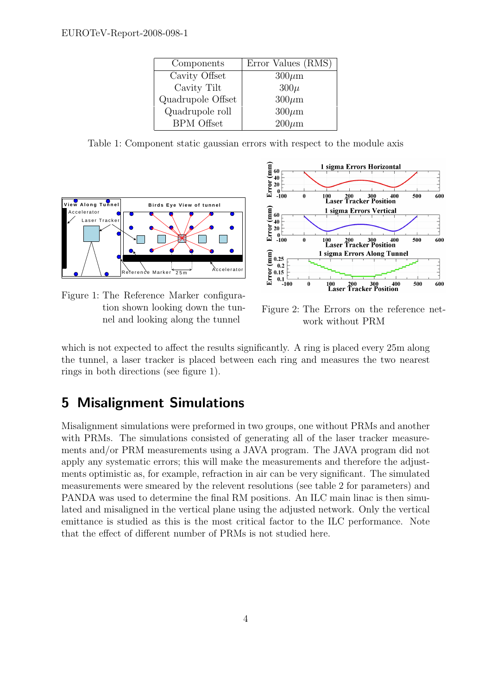| Components        | Error Values (RMS) |
|-------------------|--------------------|
| Cavity Offset     | $300 \mu m$        |
| Cavity Tilt       | $300\mu$           |
| Quadrupole Offset | $300 \mu m$        |
| Quadrupole roll   | $300 \mu m$        |
| <b>BPM</b> Offset | $200 \mu m$        |

Table 1: Component static gaussian errors with respect to the module axis



Figure 1: The Reference Marker configuration shown looking down the tunnel and looking along the tunnel



Figure 2: The Errors on the reference network without PRM

which is not expected to affect the results significantly. A ring is placed every 25m along the tunnel, a laser tracker is placed between each ring and measures the two nearest rings in both directions (see figure 1).

# 5 Misalignment Simulations

Misalignment simulations were preformed in two groups, one without PRMs and another with PRMs. The simulations consisted of generating all of the laser tracker measurements and/or PRM measurements using a JAVA program. The JAVA program did not apply any systematic errors; this will make the measurements and therefore the adjustments optimistic as, for example, refraction in air can be very significant. The simulated measurements were smeared by the relevent resolutions (see table 2 for parameters) and PANDA was used to determine the final RM positions. An ILC main linac is then simulated and misaligned in the vertical plane using the adjusted network. Only the vertical emittance is studied as this is the most critical factor to the ILC performance. Note that the effect of different number of PRMs is not studied here.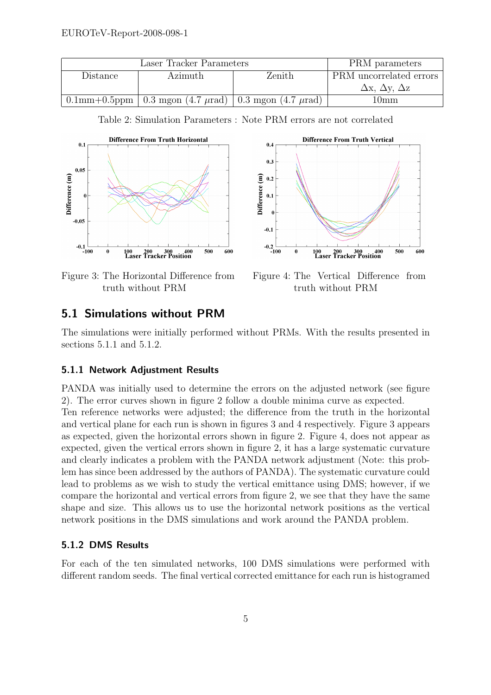| Laser Tracker Parameters |  |                                                                       | PRM parameters          |                                    |
|--------------------------|--|-----------------------------------------------------------------------|-------------------------|------------------------------------|
| Distance<br>Azimuth      |  | Zenith                                                                | PRM uncorrelated errors |                                    |
|                          |  |                                                                       |                         | $\Delta$ x, $\Delta$ y, $\Delta$ z |
|                          |  | $0.1$ mm+0.5ppm   0.3 mgon (4.7 $\mu$ rad)   0.3 mgon (4.7 $\mu$ rad) |                         | 10 <sub>mm</sub>                   |



Table 2: Simulation Parameters : Note PRM errors are not correlated



Figure 3: The Horizontal Difference from truth without PRM

Figure 4: The Vertical Difference from truth without PRM

## 5.1 Simulations without PRM

The simulations were initially performed without PRMs. With the results presented in sections 5.1.1 and 5.1.2.

#### 5.1.1 Network Adjustment Results

PANDA was initially used to determine the errors on the adjusted network (see figure 2). The error curves shown in figure 2 follow a double minima curve as expected. Ten reference networks were adjusted; the difference from the truth in the horizontal and vertical plane for each run is shown in figures 3 and 4 respectively. Figure 3 appears as expected, given the horizontal errors shown in figure 2. Figure 4, does not appear as expected, given the vertical errors shown in figure 2, it has a large systematic curvature and clearly indicates a problem with the PANDA network adjustment (Note: this problem has since been addressed by the authors of PANDA). The systematic curvature could lead to problems as we wish to study the vertical emittance using DMS; however, if we compare the horizontal and vertical errors from figure 2, we see that they have the same shape and size. This allows us to use the horizontal network positions as the vertical network positions in the DMS simulations and work around the PANDA problem.

#### 5.1.2 DMS Results

For each of the ten simulated networks, 100 DMS simulations were performed with different random seeds. The final vertical corrected emittance for each run is histogramed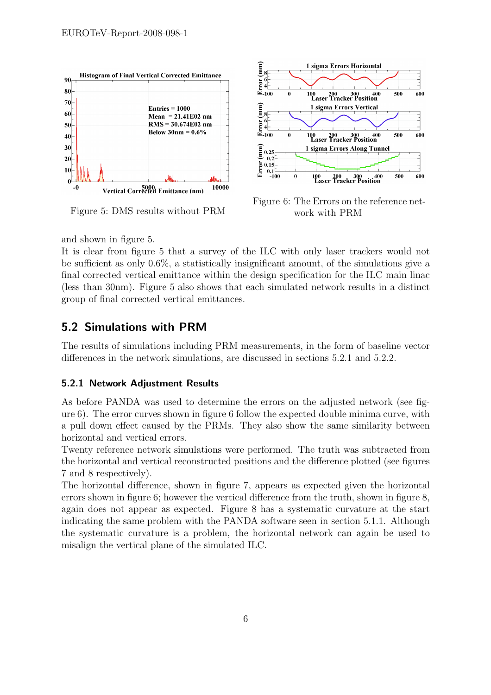

Figure 5: DMS results without PRM



Figure 6: The Errors on the reference network with PRM

and shown in figure 5.

It is clear from figure 5 that a survey of the ILC with only laser trackers would not be sufficient as only 0.6%, a statistically insignificant amount, of the simulations give a final corrected vertical emittance within the design specification for the ILC main linac (less than 30nm). Figure 5 also shows that each simulated network results in a distinct group of final corrected vertical emittances.

## 5.2 Simulations with PRM

The results of simulations including PRM measurements, in the form of baseline vector differences in the network simulations, are discussed in sections 5.2.1 and 5.2.2.

#### 5.2.1 Network Adjustment Results

As before PANDA was used to determine the errors on the adjusted network (see figure 6). The error curves shown in figure 6 follow the expected double minima curve, with a pull down effect caused by the PRMs. They also show the same similarity between horizontal and vertical errors.

Twenty reference network simulations were performed. The truth was subtracted from the horizontal and vertical reconstructed positions and the difference plotted (see figures 7 and 8 respectively).

The horizontal difference, shown in figure 7, appears as expected given the horizontal errors shown in figure 6; however the vertical difference from the truth, shown in figure 8, again does not appear as expected. Figure 8 has a systematic curvature at the start indicating the same problem with the PANDA software seen in section 5.1.1. Although the systematic curvature is a problem, the horizontal network can again be used to misalign the vertical plane of the simulated ILC.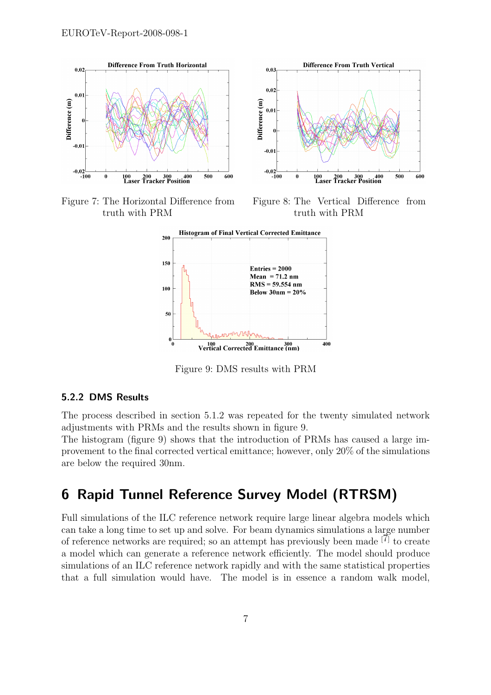





Figure 8: The Vertical Difference from truth with PRM



Figure 9: DMS results with PRM

#### 5.2.2 DMS Results

The process described in section 5.1.2 was repeated for the twenty simulated network adjustments with PRMs and the results shown in figure 9.

The histogram (figure 9) shows that the introduction of PRMs has caused a large improvement to the final corrected vertical emittance; however, only 20% of the simulations are below the required 30nm.

## 6 Rapid Tunnel Reference Survey Model (RTRSM)

Full simulations of the ILC reference network require large linear algebra models which can take a long time to set up and solve. For beam dynamics simulations a large number of reference networks are required; so an attempt has previously been made  $[\tilde{7}]$  to create a model which can generate a reference network efficiently. The model should produce simulations of an ILC reference network rapidly and with the same statistical properties that a full simulation would have. The model is in essence a random walk model,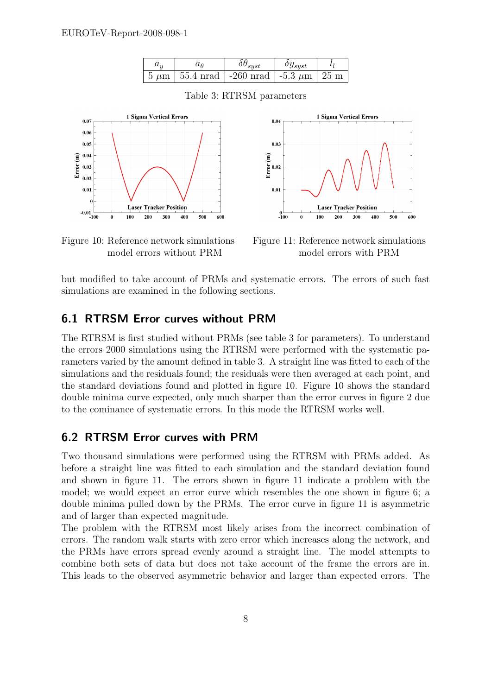| $u_{ii}$ | uв | $\delta\theta_{syst}$                                                 | $\delta y_{syst}$ |  |
|----------|----|-----------------------------------------------------------------------|-------------------|--|
|          |    | $\frac{1}{2}$ 5 $\mu$ m   55.4 nrad   -260 nrad   -5.3 $\mu$ m   25 m |                   |  |



Table 3: RTRSM parameters

 $0.04$ 

 $0.0$ 

 $\widehat{E}$ 

 $\sum_{i=1}^{n} 0.02$ 

 $0.01$ 

 $^{0}_{-100}$ 

 $\Omega$ 

Figure 11: Reference network simulations model errors with PRM

200

100

**Laser Tracker Position** 

300

400

500

600

1 Sioma Vertical Errors

Figure 10: Reference network simulations model errors without PRM

but modified to take account of PRMs and systematic errors. The errors of such fast simulations are examined in the following sections.

### 6.1 RTRSM Error curves without PRM

The RTRSM is first studied without PRMs (see table 3 for parameters). To understand the errors 2000 simulations using the RTRSM were performed with the systematic parameters varied by the amount defined in table 3. A straight line was fitted to each of the simulations and the residuals found; the residuals were then averaged at each point, and the standard deviations found and plotted in figure 10. Figure 10 shows the standard double minima curve expected, only much sharper than the error curves in figure 2 due to the cominance of systematic errors. In this mode the RTRSM works well.

### 6.2 RTRSM Error curves with PRM

Two thousand simulations were performed using the RTRSM with PRMs added. As before a straight line was fitted to each simulation and the standard deviation found and shown in figure 11. The errors shown in figure 11 indicate a problem with the model; we would expect an error curve which resembles the one shown in figure 6; a double minima pulled down by the PRMs. The error curve in figure 11 is asymmetric and of larger than expected magnitude.

The problem with the RTRSM most likely arises from the incorrect combination of errors. The random walk starts with zero error which increases along the network, and the PRMs have errors spread evenly around a straight line. The model attempts to combine both sets of data but does not take account of the frame the errors are in. This leads to the observed asymmetric behavior and larger than expected errors. The